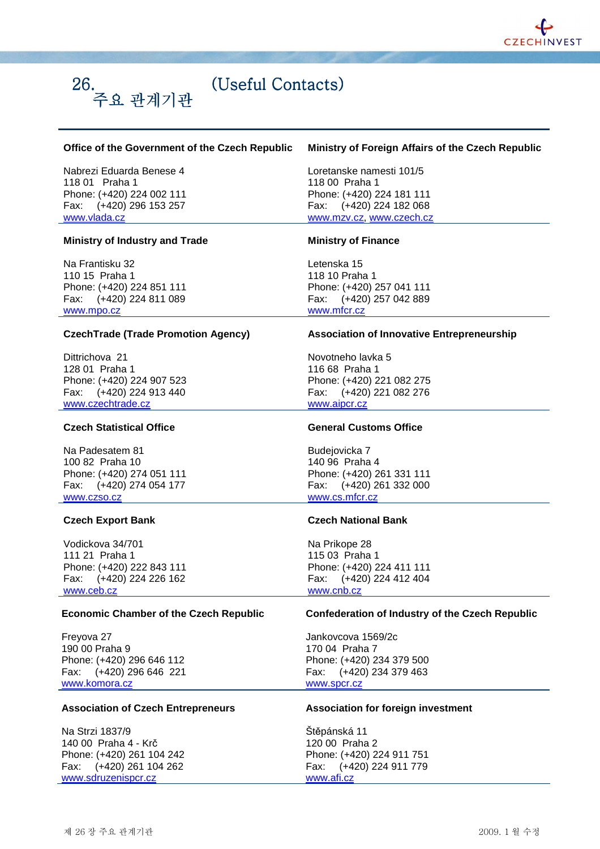

# (Useful Contacts)

## **Office of the Government of the Czech Republic**

Nabrezi Eduarda Benese 4 118 01 Praha 1 Phone: (+420) 224 002 111 Fax: (+420) 296 153 257 www.vlada.cz

주요 관계기관

## **Ministry of Industry and Trade**

Na Frantisku 32 110 15 Praha 1 Phone: (+420) 224 851 111 Fax: (+420) 224 811 089 www.mpo.cz

#### **CzechTrade (Trade Promotion Agency)**

Dittrichova 21 128 01 Praha 1 Phone: (+420) 224 907 523 Fax: (+420) 224 913 440 www.czechtrade.cz

# **Czech Statistical Office**

Na Padesatem 81 100 82 Praha 10 Phone: (+420) 274 051 111 Fax: (+420) 274 054 177 www.czso.cz

#### **Czech Export Bank**

Vodickova 34/701 111 21 Praha 1 Phone: (+420) 222 843 111 Fax: (+420) 224 226 162 www.ceb.cz

#### **Economic Chamber of the Czech Republic**

Freyova 27 190 00 Praha 9 Phone: (+420) 296 646 112 Fax: (+420) 296 646 221 www.komora.cz

#### **Association of Czech Entrepreneurs**

Na Strzi 1837/9 140 00 Praha 4 - Krč Phone: (+420) 261 104 242 Fax: (+420) 261 104 262 www.sdruzenispcr.cz

## **Ministry of Foreign Affairs of the Czech Republic**

Loretanske namesti 101/5 118 00 Praha 1 Phone: (+420) 224 181 111 Fax: (+420) 224 182 068 www.mzv.cz, www.czech.cz

#### **Ministry of Finance**

Letenska 15 118 10 Praha 1 Phone: (+420) 257 041 111 Fax: (+420) 257 042 889 www.mfcr.cz

#### **Association of Innovative Entrepreneurship**

Novotneho lavka 5 116 68 Praha 1 Phone: (+420) 221 082 275 Fax: (+420) 221 082 276 www.aipcr.cz

# **General Customs Office**

Budejovicka 7 140 96 Praha 4 Phone: (+420) 261 331 111 Fax: (+420) 261 332 000 www.cs.mfcr.cz

#### **Czech National Bank**

Na Prikope 28 115 03 Praha 1 Phone: (+420) 224 411 111 Fax: (+420) 224 412 404 www.cnb.cz

## **Confederation of Industry of the Czech Republic**

Jankovcova 1569/2c 170 04 Praha 7 Phone: (+420) 234 379 500 Fax: (+420) 234 379 463 www.spcr.cz

## **Association for foreign investment**

Štěpánská 11 120 00 Praha 2 Phone: (+420) 224 911 751 Fax: (+420) 224 911 779 www.afi.cz